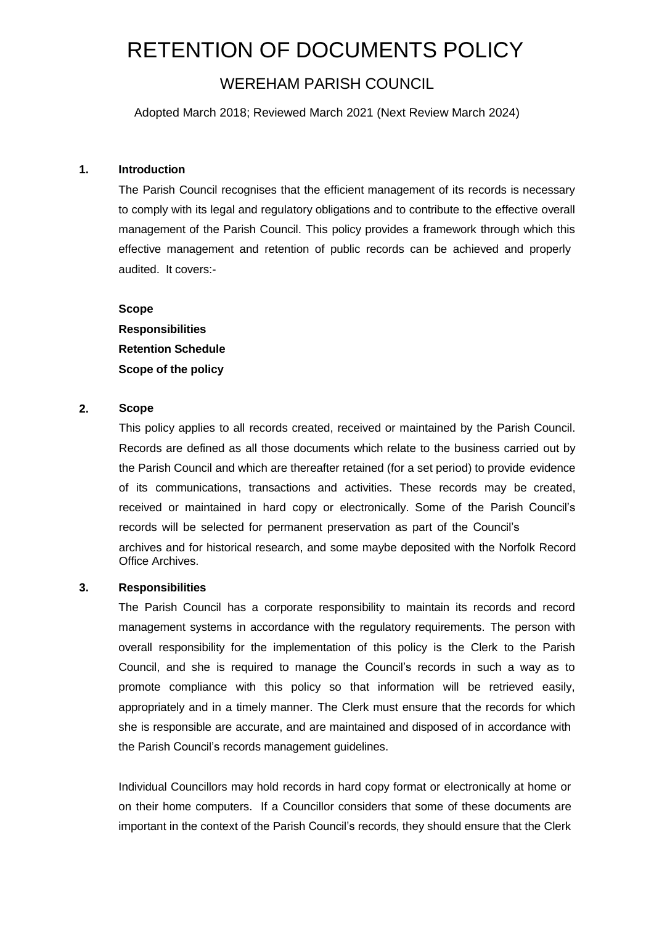# RETENTION OF DOCUMENTS POLICY

WEREHAM PARISH COUNCIL

Adopted March 2018; Reviewed March 2021 (Next Review March 2024)

# **1. Introduction**

The Parish Council recognises that the efficient management of its records is necessary to comply with its legal and regulatory obligations and to contribute to the effective overall management of the Parish Council. This policy provides a framework through which this effective management and retention of public records can be achieved and properly audited. It covers:-

**Scope Responsibilities Retention Schedule Scope of the policy**

# **2. Scope**

This policy applies to all records created, received or maintained by the Parish Council. Records are defined as all those documents which relate to the business carried out by the Parish Council and which are thereafter retained (for a set period) to provide evidence of its communications, transactions and activities. These records may be created, received or maintained in hard copy or electronically. Some of the Parish Council's records will be selected for permanent preservation as part of the Council's archives and for historical research, and some maybe deposited with the Norfolk Record Office Archives.

#### **3. Responsibilities**

The Parish Council has a corporate responsibility to maintain its records and record management systems in accordance with the regulatory requirements. The person with overall responsibility for the implementation of this policy is the Clerk to the Parish Council, and she is required to manage the Council's records in such a way as to promote compliance with this policy so that information will be retrieved easily, appropriately and in a timely manner. The Clerk must ensure that the records for which she is responsible are accurate, and are maintained and disposed of in accordance with the Parish Council's records management guidelines.

Individual Councillors may hold records in hard copy format or electronically at home or on their home computers. If a Councillor considers that some of these documents are important in the context of the Parish Council's records, they should ensure that the Clerk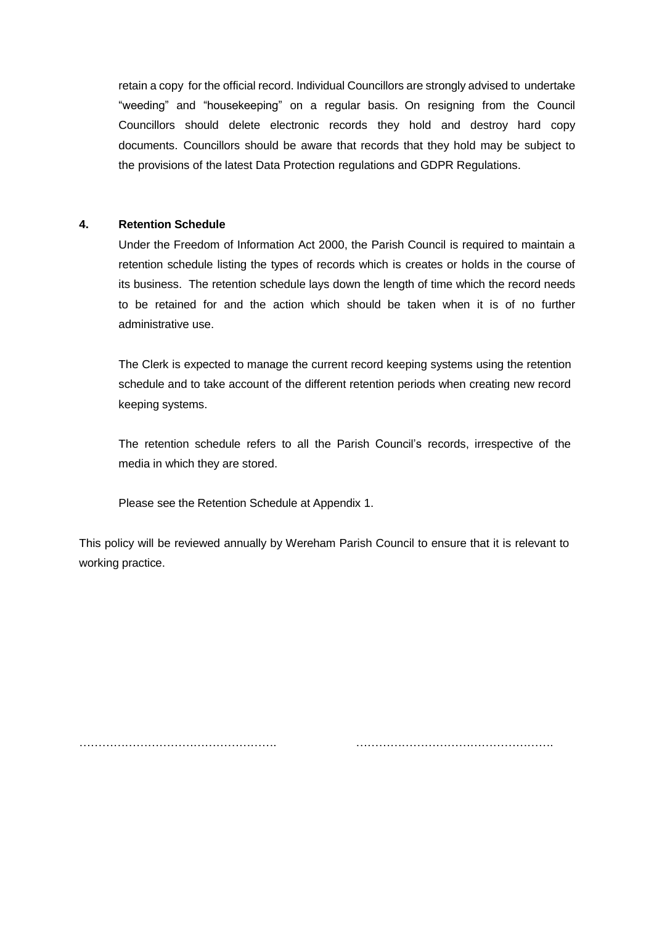retain a copy for the official record. Individual Councillors are strongly advised to undertake "weeding" and "housekeeping" on a regular basis. On resigning from the Council Councillors should delete electronic records they hold and destroy hard copy documents. Councillors should be aware that records that they hold may be subject to the provisions of the latest Data Protection regulations and GDPR Regulations.

#### **4. Retention Schedule**

Under the Freedom of Information Act 2000, the Parish Council is required to maintain a retention schedule listing the types of records which is creates or holds in the course of its business. The retention schedule lays down the length of time which the record needs to be retained for and the action which should be taken when it is of no further administrative use.

The Clerk is expected to manage the current record keeping systems using the retention schedule and to take account of the different retention periods when creating new record keeping systems.

The retention schedule refers to all the Parish Council's records, irrespective of the media in which they are stored.

Please see the Retention Schedule at Appendix 1.

This policy will be reviewed annually by Wereham Parish Council to ensure that it is relevant to working practice.

……………………………………………. …………………………………………….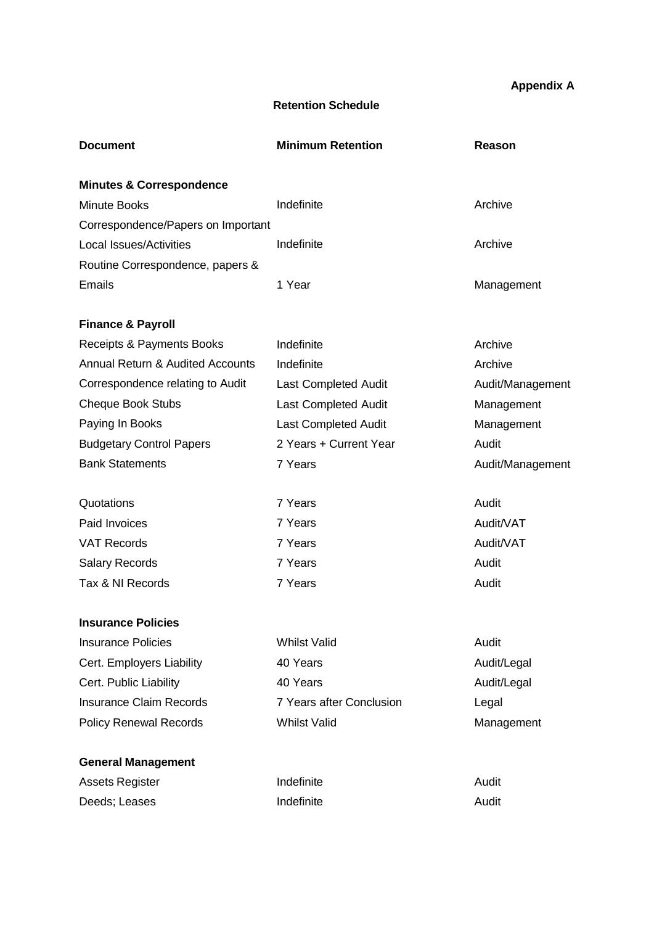**Appendix A**

# **Retention Schedule**

| <b>Document</b>                             | <b>Minimum Retention</b>    | Reason           |
|---------------------------------------------|-----------------------------|------------------|
| <b>Minutes &amp; Correspondence</b>         |                             |                  |
| <b>Minute Books</b>                         | Indefinite                  | Archive          |
| Correspondence/Papers on Important          |                             |                  |
| <b>Local Issues/Activities</b>              | Indefinite                  | Archive          |
| Routine Correspondence, papers &            |                             |                  |
| <b>Emails</b>                               | 1 Year                      | Management       |
| <b>Finance &amp; Payroll</b>                |                             |                  |
| Receipts & Payments Books                   | Indefinite                  | Archive          |
| <b>Annual Return &amp; Audited Accounts</b> | Indefinite                  | Archive          |
| Correspondence relating to Audit            | Last Completed Audit        | Audit/Management |
| <b>Cheque Book Stubs</b>                    | Last Completed Audit        | Management       |
| Paying In Books                             | <b>Last Completed Audit</b> | Management       |
| <b>Budgetary Control Papers</b>             | 2 Years + Current Year      | Audit            |
| <b>Bank Statements</b>                      | 7 Years                     | Audit/Management |
| Quotations                                  | 7 Years                     | Audit            |
| Paid Invoices                               | 7 Years                     | Audit/VAT        |
| <b>VAT Records</b>                          | 7 Years                     | Audit/VAT        |
| <b>Salary Records</b>                       | 7 Years                     | Audit            |
| Tax & NI Records                            | 7 Years                     | Audit            |
| <b>Insurance Policies</b>                   |                             |                  |
| <b>Insurance Policies</b>                   | <b>Whilst Valid</b>         | Audit            |
| Cert. Employers Liability                   | 40 Years                    | Audit/Legal      |
| Cert. Public Liability                      | 40 Years                    | Audit/Legal      |
| <b>Insurance Claim Records</b>              | 7 Years after Conclusion    | Legal            |
| <b>Policy Renewal Records</b>               | <b>Whilst Valid</b>         | Management       |
| <b>General Management</b>                   |                             |                  |
| <b>Assets Register</b>                      | Indefinite                  | Audit            |
| Deeds; Leases                               | Indefinite                  | Audit            |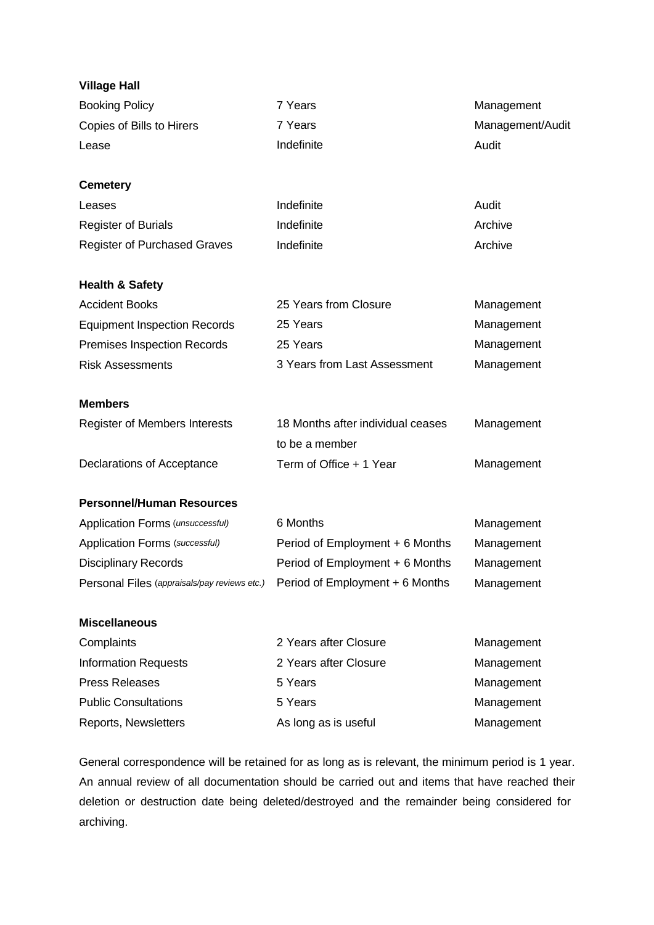| <b>Village Hall</b>                                                          |                                                     |                  |
|------------------------------------------------------------------------------|-----------------------------------------------------|------------------|
| <b>Booking Policy</b>                                                        | 7 Years                                             | Management       |
| Copies of Bills to Hirers                                                    | 7 Years                                             | Management/Audit |
| Lease                                                                        | Indefinite                                          | Audit            |
| <b>Cemetery</b>                                                              |                                                     |                  |
| Leases                                                                       | Indefinite                                          | Audit            |
| <b>Register of Burials</b>                                                   | Indefinite                                          | Archive          |
| <b>Register of Purchased Graves</b>                                          | Indefinite                                          | Archive          |
| <b>Health &amp; Safety</b>                                                   |                                                     |                  |
| <b>Accident Books</b>                                                        | 25 Years from Closure                               | Management       |
| <b>Equipment Inspection Records</b>                                          | 25 Years                                            | Management       |
| <b>Premises Inspection Records</b>                                           | 25 Years                                            | Management       |
| <b>Risk Assessments</b>                                                      | 3 Years from Last Assessment                        | Management       |
| <b>Members</b>                                                               |                                                     |                  |
| Register of Members Interests                                                | 18 Months after individual ceases<br>to be a member | Management       |
| Declarations of Acceptance                                                   | Term of Office + 1 Year                             | Management       |
| <b>Personnel/Human Resources</b>                                             |                                                     |                  |
| Application Forms (unsuccessful)                                             | 6 Months                                            | Management       |
| Application Forms (successful)                                               | Period of Employment + 6 Months                     | Management       |
| <b>Disciplinary Records</b>                                                  | Period of Employment + 6 Months                     | Management       |
| Personal Files (appraisals/pay reviews etc.) Period of Employment + 6 Months |                                                     | Management       |
| <b>Miscellaneous</b>                                                         |                                                     |                  |
| Complaints                                                                   | 2 Years after Closure                               | Management       |
| <b>Information Requests</b>                                                  | 2 Years after Closure                               | Management       |
| <b>Press Releases</b>                                                        | 5 Years                                             | Management       |
| <b>Public Consultations</b>                                                  | 5 Years                                             | Management       |
| Reports, Newsletters                                                         | As long as is useful                                | Management       |

General correspondence will be retained for as long as is relevant, the minimum period is 1 year. An annual review of all documentation should be carried out and items that have reached their deletion or destruction date being deleted/destroyed and the remainder being considered for archiving.